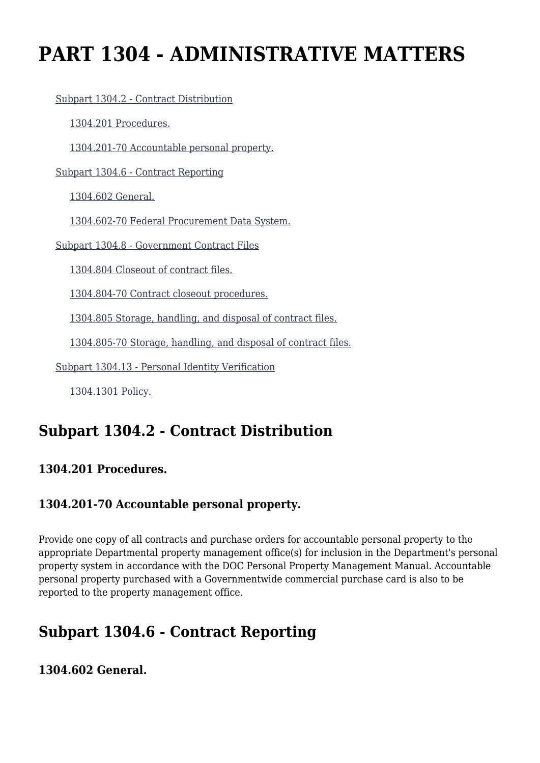# **PART 1304 - ADMINISTRATIVE MATTERS**

[Subpart 1304.2 - Contract Distribution](https://login.acquisition.gov/%5Brp:link:car-part-1304%5D#Subpart_1304_2_T48_5064351)

[1304.201 Procedures.](https://login.acquisition.gov/%5Brp:link:car-part-1304%5D#Section_1304_201_T48_506435111)

[1304.201-70 Accountable personal property.](https://login.acquisition.gov/%5Brp:link:car-part-1304%5D#Section_1304_201_70_T48_506435112)

[Subpart 1304.6 - Contract Reporting](https://login.acquisition.gov/%5Brp:link:car-part-1304%5D#Subpart_1304_6_T48_5064352)

[1304.602 General.](https://login.acquisition.gov/%5Brp:link:car-part-1304%5D#Section_1304_602_T48_506435211)

[1304.602-70 Federal Procurement Data System.](https://login.acquisition.gov/%5Brp:link:car-part-1304%5D#Section_1304_602_70_T48_506435212)

[Subpart 1304.8 - Government Contract Files](https://login.acquisition.gov/%5Brp:link:car-part-1304%5D#Subpart_1304_8_T48_5064353)

[1304.804 Closeout of contract files.](https://login.acquisition.gov/%5Brp:link:car-part-1304%5D#Section_1304_804_T48_506435311)

[1304.804-70 Contract closeout procedures.](https://login.acquisition.gov/%5Brp:link:car-part-1304%5D#Section_1304_804_70_T48_506435312)

[1304.805 Storage, handling, and disposal of contract files.](https://login.acquisition.gov/%5Brp:link:car-part-1304%5D#Section_1304_805_T48_506435313)

[1304.805-70 Storage, handling, and disposal of contract files.](https://login.acquisition.gov/%5Brp:link:car-part-1304%5D#Section_1304_805_70_T48_506435314)

[Subpart 1304.13 - Personal Identity Verification](https://login.acquisition.gov/%5Brp:link:car-part-1304%5D#Subpart_1304_13_T48_5064354)

[1304.1301 Policy.](https://login.acquisition.gov/%5Brp:link:car-part-1304%5D#Section_1304_1301_T48_506435411)

# **Subpart 1304.2 - Contract Distribution**

#### **1304.201 Procedures.**

#### **1304.201-70 Accountable personal property.**

Provide one copy of all contracts and purchase orders for accountable personal property to the appropriate Departmental property management office(s) for inclusion in the Department's personal property system in accordance with the DOC Personal Property Management Manual. Accountable personal property purchased with a Governmentwide commercial purchase card is also to be reported to the property management office.

# **Subpart 1304.6 - Contract Reporting**

**1304.602 General.**